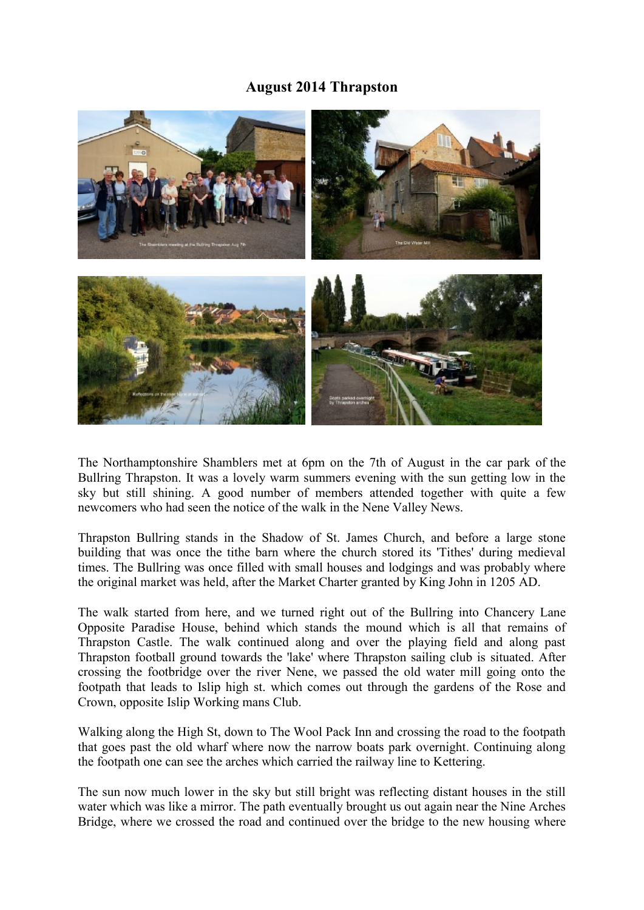## **August 2014 Thrapston**



The Northamptonshire Shamblers met at 6pm on the 7th of August in the car park of the Bullring Thrapston. It was a lovely warm summers evening with the sun getting low in the sky but still shining. A good number of members attended together with quite a few newcomers who had seen the notice of the walk in the Nene Valley News.

Thrapston Bullring stands in the Shadow of St. James Church, and before a large stone building that was once the tithe barn where the church stored its 'Tithes' during medieval times. The Bullring was once filled with small houses and lodgings and was probably where the original market was held, after the Market Charter granted by King John in 1205 AD.

The walk started from here, and we turned right out of the Bullring into Chancery Lane Opposite Paradise House, behind which stands the mound which is all that remains of Thrapston Castle. The walk continued along and over the playing field and along past Thrapston football ground towards the 'lake' where Thrapston sailing club is situated. After crossing the footbridge over the river Nene, we passed the old water mill going onto the footpath that leads to Islip high st. which comes out through the gardens of the Rose and Crown, opposite Islip Working mans Club.

Walking along the High St, down to The Wool Pack Inn and crossing the road to the footpath that goes past the old wharf where now the narrow boats park overnight. Continuing along the footpath one can see the arches which carried the railway line to Kettering.

The sun now much lower in the sky but still bright was reflecting distant houses in the still water which was like a mirror. The path eventually brought us out again near the Nine Arches Bridge, where we crossed the road and continued over the bridge to the new housing where